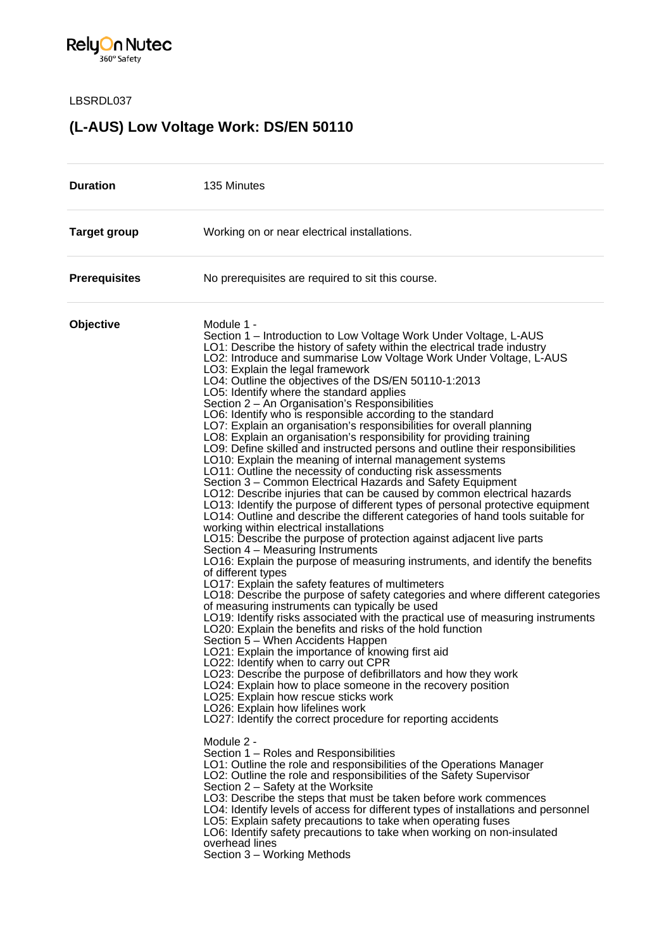

LBSRDL037

## **(L-AUS) Low Voltage Work: DS/EN 50110**

| <b>Duration</b>      | 135 Minutes                                                                                                                                                                                                                                                                                                                                                                                                                                                                                                                                                                                                                                                                                                                                                                                                                                                                                                                                                                                                                                                                                                                                                                                                                                                                                                                                                                                                                                                                                                                                                                                                                                                                                                                                                                                                                                                                                                                                                                                                                                                                                                                                                                                                                                                                                                                                                                                                                           |
|----------------------|---------------------------------------------------------------------------------------------------------------------------------------------------------------------------------------------------------------------------------------------------------------------------------------------------------------------------------------------------------------------------------------------------------------------------------------------------------------------------------------------------------------------------------------------------------------------------------------------------------------------------------------------------------------------------------------------------------------------------------------------------------------------------------------------------------------------------------------------------------------------------------------------------------------------------------------------------------------------------------------------------------------------------------------------------------------------------------------------------------------------------------------------------------------------------------------------------------------------------------------------------------------------------------------------------------------------------------------------------------------------------------------------------------------------------------------------------------------------------------------------------------------------------------------------------------------------------------------------------------------------------------------------------------------------------------------------------------------------------------------------------------------------------------------------------------------------------------------------------------------------------------------------------------------------------------------------------------------------------------------------------------------------------------------------------------------------------------------------------------------------------------------------------------------------------------------------------------------------------------------------------------------------------------------------------------------------------------------------------------------------------------------------------------------------------------------|
| <b>Target group</b>  | Working on or near electrical installations.                                                                                                                                                                                                                                                                                                                                                                                                                                                                                                                                                                                                                                                                                                                                                                                                                                                                                                                                                                                                                                                                                                                                                                                                                                                                                                                                                                                                                                                                                                                                                                                                                                                                                                                                                                                                                                                                                                                                                                                                                                                                                                                                                                                                                                                                                                                                                                                          |
| <b>Prerequisites</b> | No prerequisites are required to sit this course.                                                                                                                                                                                                                                                                                                                                                                                                                                                                                                                                                                                                                                                                                                                                                                                                                                                                                                                                                                                                                                                                                                                                                                                                                                                                                                                                                                                                                                                                                                                                                                                                                                                                                                                                                                                                                                                                                                                                                                                                                                                                                                                                                                                                                                                                                                                                                                                     |
| Objective            | Module 1 -<br>Section 1 – Introduction to Low Voltage Work Under Voltage, L-AUS<br>LO1: Describe the history of safety within the electrical trade industry<br>LO2: Introduce and summarise Low Voltage Work Under Voltage, L-AUS<br>LO3: Explain the legal framework<br>LO4: Outline the objectives of the DS/EN 50110-1:2013<br>LO5: Identify where the standard applies<br>Section 2 - An Organisation's Responsibilities<br>LO6: Identify who is responsible according to the standard<br>LO7: Explain an organisation's responsibilities for overall planning<br>LO8: Explain an organisation's responsibility for providing training<br>LO9: Define skilled and instructed persons and outline their responsibilities<br>LO10: Explain the meaning of internal management systems<br>LO11: Outline the necessity of conducting risk assessments<br>Section 3 – Common Electrical Hazards and Safety Equipment<br>LO12: Describe injuries that can be caused by common electrical hazards<br>LO13: Identify the purpose of different types of personal protective equipment<br>LO14: Outline and describe the different categories of hand tools suitable for<br>working within electrical installations<br>LO15: Describe the purpose of protection against adjacent live parts<br>Section 4 – Measuring Instruments<br>LO16: Explain the purpose of measuring instruments, and identify the benefits<br>of different types<br>LO17: Explain the safety features of multimeters<br>LO18: Describe the purpose of safety categories and where different categories<br>of measuring instruments can typically be used<br>LO19: Identify risks associated with the practical use of measuring instruments<br>LO20: Explain the benefits and risks of the hold function<br>Section 5 - When Accidents Happen<br>LO21: Explain the importance of knowing first aid<br>LO22: Identify when to carry out CPR<br>LO23: Describe the purpose of defibrillators and how they work<br>LO24: Explain how to place someone in the recovery position<br>LO25: Explain how rescue sticks work<br>LO26: Explain how lifelines work<br>LO27: Identify the correct procedure for reporting accidents<br>Module 2 -<br>Section 1 - Roles and Responsibilities<br>LO1: Outline the role and responsibilities of the Operations Manager<br>LO2: Outline the role and responsibilities of the Safety Supervisor<br>Section 2 – Safety at the Worksite |
|                      | LO3: Describe the steps that must be taken before work commences<br>LO4: Identify levels of access for different types of installations and personnel<br>LO5: Explain safety precautions to take when operating fuses<br>LO6: Identify safety precautions to take when working on non-insulated<br>overhead lines<br>Section 3 - Working Methods                                                                                                                                                                                                                                                                                                                                                                                                                                                                                                                                                                                                                                                                                                                                                                                                                                                                                                                                                                                                                                                                                                                                                                                                                                                                                                                                                                                                                                                                                                                                                                                                                                                                                                                                                                                                                                                                                                                                                                                                                                                                                      |